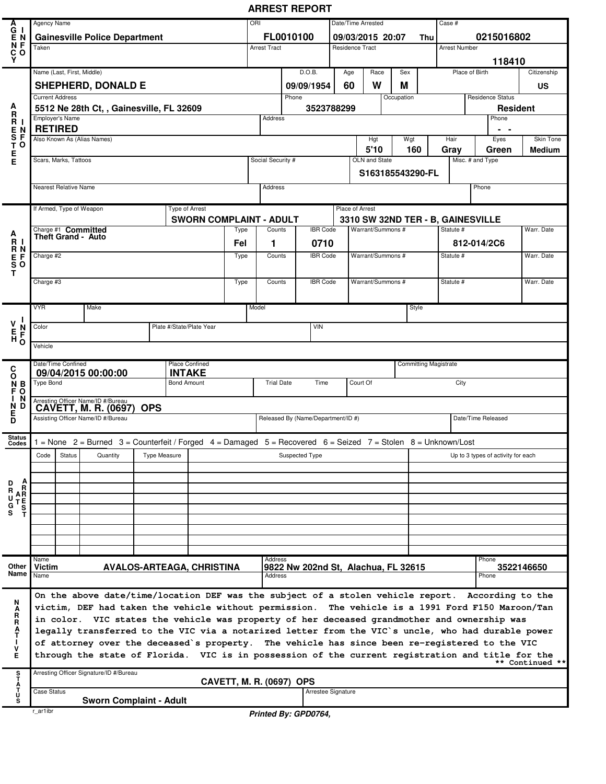## **ARREST REPORT**

|                                                                     |                                                                                     |                       |                                                                                                               |              |  |                                  |            | ORI                                |                                     |                 |                                                   |                                   |            |           | Case #                             |                          |                                    |                 |  |
|---------------------------------------------------------------------|-------------------------------------------------------------------------------------|-----------------------|---------------------------------------------------------------------------------------------------------------|--------------|--|----------------------------------|------------|------------------------------------|-------------------------------------|-----------------|---------------------------------------------------|-----------------------------------|------------|-----------|------------------------------------|--------------------------|------------------------------------|-----------------|--|
|                                                                     | Agency Name                                                                         |                       |                                                                                                               |              |  |                                  |            |                                    |                                     |                 |                                                   | Date/Time Arrested                |            |           |                                    |                          |                                    |                 |  |
| A<br>G<br>E<br>N<br>C<br>V<br>V                                     | <b>Gainesville Police Department</b><br>Taken                                       |                       |                                                                                                               |              |  |                                  |            | FL0010100<br><b>Arrest Tract</b>   |                                     |                 | 09/03/2015 20:07<br>Thu<br><b>Residence Tract</b> |                                   |            |           | 0215016802<br><b>Arrest Number</b> |                          |                                    |                 |  |
|                                                                     |                                                                                     |                       |                                                                                                               |              |  |                                  |            |                                    |                                     |                 |                                                   |                                   |            |           |                                    |                          |                                    |                 |  |
|                                                                     |                                                                                     |                       |                                                                                                               |              |  |                                  |            |                                    |                                     |                 |                                                   |                                   |            |           |                                    |                          | 118410                             |                 |  |
|                                                                     |                                                                                     |                       | Name (Last, First, Middle)                                                                                    |              |  |                                  |            |                                    | D.O.B.                              |                 | Age                                               | Race                              | Sex        |           |                                    |                          | Place of Birth                     | Citizenship     |  |
|                                                                     | <b>SHEPHERD, DONALD E</b>                                                           |                       |                                                                                                               |              |  |                                  |            |                                    | 60<br>09/09/1954                    |                 |                                                   | W                                 | Μ          |           |                                    |                          |                                    | US              |  |
| A                                                                   | <b>Current Address</b>                                                              |                       |                                                                                                               |              |  |                                  |            | Phone                              |                                     |                 |                                                   |                                   | Occupation |           |                                    |                          | <b>Residence Status</b>            |                 |  |
| <b>FRANEST-</b>                                                     | 5512 Ne 28th Ct, , Gainesville, FL 32609                                            |                       |                                                                                                               |              |  |                                  | 3523788299 |                                    |                                     |                 |                                                   |                                   |            |           |                                    | <b>Resident</b><br>Phone |                                    |                 |  |
|                                                                     | Employer's Name<br><b>RETIRED</b>                                                   |                       |                                                                                                               |              |  |                                  |            | Address                            |                                     |                 |                                                   |                                   |            |           |                                    |                          | . .                                |                 |  |
|                                                                     | Also Known As (Alias Names)                                                         |                       |                                                                                                               |              |  |                                  |            |                                    |                                     |                 |                                                   | Hgt                               | Wgt        |           | Hair                               |                          | Eyes                               | Skin Tone       |  |
|                                                                     |                                                                                     |                       |                                                                                                               |              |  |                                  |            | 5'10                               |                                     |                 |                                                   |                                   |            | 160       | Gray                               |                          | Green                              | <b>Medium</b>   |  |
| E<br>E                                                              |                                                                                     | Scars, Marks, Tattoos |                                                                                                               |              |  |                                  |            | Social Security #<br>OLN and State |                                     |                 |                                                   |                                   |            |           |                                    |                          | Misc. # and Type                   |                 |  |
|                                                                     |                                                                                     |                       |                                                                                                               |              |  |                                  |            | S163185543290-FL                   |                                     |                 |                                                   |                                   |            |           |                                    |                          |                                    |                 |  |
|                                                                     |                                                                                     | Nearest Relative Name |                                                                                                               |              |  |                                  |            | Address                            |                                     |                 |                                                   |                                   |            |           |                                    |                          | Phone                              |                 |  |
|                                                                     |                                                                                     |                       |                                                                                                               |              |  |                                  |            |                                    |                                     |                 |                                                   |                                   |            |           |                                    |                          |                                    |                 |  |
|                                                                     |                                                                                     |                       | If Armed, Type of Weapon                                                                                      |              |  | Type of Arrest                   |            | Place of Arrest                    |                                     |                 |                                                   |                                   |            |           |                                    |                          |                                    |                 |  |
|                                                                     |                                                                                     |                       |                                                                                                               |              |  | <b>SWORN COMPLAINT - ADULT</b>   |            |                                    |                                     |                 |                                                   | 3310 SW 32ND TER - B, GAINESVILLE |            |           |                                    |                          |                                    |                 |  |
|                                                                     |                                                                                     |                       | Charge #1 Committed<br>Theft Grand - Auto                                                                     |              |  |                                  | Type       | <b>IBR Code</b><br>Counts          |                                     |                 | Warrant/Summons #                                 |                                   |            |           | Statute #                          |                          |                                    | Warr. Date      |  |
|                                                                     |                                                                                     |                       |                                                                                                               |              |  |                                  | Fel        | 1                                  | 0710                                |                 |                                                   |                                   |            |           |                                    |                          | 812-014/2C6                        |                 |  |
|                                                                     | Charge #2                                                                           |                       |                                                                                                               |              |  |                                  | Type       | Counts                             | <b>IBR</b> Code                     |                 | Warrant/Summons #                                 |                                   |            | Statute # |                                    |                          | Warr, Date                         |                 |  |
| A<br>R<br>R<br>E<br>S<br>S<br>T                                     |                                                                                     |                       |                                                                                                               |              |  |                                  |            |                                    |                                     |                 |                                                   |                                   |            |           |                                    |                          |                                    |                 |  |
|                                                                     | Charge #3                                                                           |                       |                                                                                                               |              |  |                                  | Type       | Counts                             |                                     | <b>IBR</b> Code |                                                   | Warrant/Summons #                 |            |           | Statute #                          |                          |                                    | Warr. Date      |  |
|                                                                     |                                                                                     |                       |                                                                                                               |              |  |                                  |            |                                    |                                     |                 |                                                   |                                   |            |           |                                    |                          |                                    |                 |  |
|                                                                     | <b>VYR</b>                                                                          |                       | Make                                                                                                          |              |  |                                  |            | Model                              |                                     |                 |                                                   |                                   |            | Style     |                                    |                          |                                    |                 |  |
| $\begin{array}{c}\nV \\ T \\ T \\ T\n\end{array}$<br>$\overline{5}$ |                                                                                     |                       |                                                                                                               |              |  |                                  |            |                                    |                                     |                 |                                                   |                                   |            |           |                                    |                          |                                    |                 |  |
|                                                                     | Color                                                                               |                       |                                                                                                               |              |  | Plate #/State/Plate Year         |            |                                    | <b>VIN</b>                          |                 |                                                   |                                   |            |           |                                    |                          |                                    |                 |  |
|                                                                     | Vehicle                                                                             |                       |                                                                                                               |              |  |                                  |            |                                    |                                     |                 |                                                   |                                   |            |           |                                    |                          |                                    |                 |  |
|                                                                     |                                                                                     |                       |                                                                                                               |              |  |                                  |            |                                    |                                     |                 |                                                   |                                   |            |           |                                    |                          |                                    |                 |  |
|                                                                     | <b>Place Confined</b><br>Date/Time Confined<br><b>INTAKE</b><br>09/04/2015 00:00:00 |                       |                                                                                                               |              |  |                                  |            |                                    | <b>Committing Magistrate</b>        |                 |                                                   |                                   |            |           |                                    |                          |                                    |                 |  |
|                                                                     | <b>Type Bond</b><br><b>Bond Amount</b>                                              |                       |                                                                                                               |              |  |                                  |            |                                    |                                     |                 |                                                   |                                   |            |           |                                    |                          |                                    |                 |  |
|                                                                     |                                                                                     |                       |                                                                                                               |              |  |                                  |            | <b>Trial Date</b>                  | Time                                |                 |                                                   | Court Of                          |            |           |                                    | City                     |                                    |                 |  |
| C<br>N<br>F O<br>F O<br>N                                           |                                                                                     |                       |                                                                                                               |              |  |                                  |            |                                    |                                     |                 |                                                   |                                   |            |           |                                    |                          |                                    |                 |  |
| N<br>D                                                              |                                                                                     |                       | Arresting Officer Name/ID #/Bureau<br>CAVETT, M. R. (0697)                                                    | <b>OPS</b>   |  |                                  |            |                                    |                                     |                 |                                                   |                                   |            |           |                                    |                          |                                    |                 |  |
| 5<br>D                                                              |                                                                                     |                       | Assisting Officer Name/ID #/Bureau                                                                            |              |  |                                  |            |                                    | Released By (Name/Department/ID #)  |                 |                                                   |                                   |            |           |                                    |                          | Date/Time Released                 |                 |  |
| <b>Status</b>                                                       |                                                                                     |                       |                                                                                                               |              |  |                                  |            |                                    |                                     |                 |                                                   |                                   |            |           |                                    |                          |                                    |                 |  |
| Codes                                                               |                                                                                     |                       | 1 = None 2 = Burned 3 = Counterfeit / Forged 4 = Damaged 5 = Recovered 6 = Seized 7 = Stolen 8 = Unknown/Lost |              |  |                                  |            |                                    |                                     |                 |                                                   |                                   |            |           |                                    |                          |                                    |                 |  |
|                                                                     | Code                                                                                | <b>Status</b>         | Quantity                                                                                                      | Type Measure |  |                                  |            |                                    | Suspected Type                      |                 |                                                   |                                   |            |           |                                    |                          | Up to 3 types of activity for each |                 |  |
|                                                                     |                                                                                     |                       |                                                                                                               |              |  |                                  |            |                                    |                                     |                 |                                                   |                                   |            |           |                                    |                          |                                    |                 |  |
| D                                                                   |                                                                                     |                       |                                                                                                               |              |  |                                  |            |                                    |                                     |                 |                                                   |                                   |            |           |                                    |                          |                                    |                 |  |
| $\mathbf{A}$<br>R<br>U                                              |                                                                                     |                       |                                                                                                               |              |  |                                  |            |                                    |                                     |                 |                                                   |                                   |            |           |                                    |                          |                                    |                 |  |
|                                                                     |                                                                                     |                       |                                                                                                               |              |  |                                  |            |                                    |                                     |                 |                                                   |                                   |            |           |                                    |                          |                                    |                 |  |
| AR<br>TEST<br>T<br>G<br>S                                           |                                                                                     |                       |                                                                                                               |              |  |                                  |            |                                    |                                     |                 |                                                   |                                   |            |           |                                    |                          |                                    |                 |  |
|                                                                     |                                                                                     |                       |                                                                                                               |              |  |                                  |            |                                    |                                     |                 |                                                   |                                   |            |           |                                    |                          |                                    |                 |  |
|                                                                     |                                                                                     |                       |                                                                                                               |              |  |                                  |            |                                    |                                     |                 |                                                   |                                   |            |           |                                    |                          |                                    |                 |  |
|                                                                     | Name                                                                                |                       |                                                                                                               |              |  |                                  |            | Address                            |                                     |                 |                                                   |                                   |            |           |                                    |                          | Phone                              |                 |  |
| Other<br>Name Name                                                  | l Victim                                                                            |                       |                                                                                                               |              |  | <b>AVALOS-ARTEAGA, CHRISTINA</b> |            | Address                            | 9822 Nw 202nd St, Alachua, FL 32615 |                 |                                                   |                                   |            |           |                                    |                          | Phone                              | 3522146650      |  |
|                                                                     |                                                                                     |                       |                                                                                                               |              |  |                                  |            |                                    |                                     |                 |                                                   |                                   |            |           |                                    |                          |                                    |                 |  |
|                                                                     |                                                                                     |                       | On the above date/time/location DEF was the subject of a stolen vehicle report. According to the              |              |  |                                  |            |                                    |                                     |                 |                                                   |                                   |            |           |                                    |                          |                                    |                 |  |
| N                                                                   |                                                                                     |                       | victim, DEF had taken the vehicle without permission. The vehicle is a 1991 Ford F150 Maroon/Tan              |              |  |                                  |            |                                    |                                     |                 |                                                   |                                   |            |           |                                    |                          |                                    |                 |  |
|                                                                     |                                                                                     |                       | in color. VIC states the vehicle was property of her deceased grandmother and ownership was                   |              |  |                                  |            |                                    |                                     |                 |                                                   |                                   |            |           |                                    |                          |                                    |                 |  |
| A<br>R<br>R<br>A<br>T                                               |                                                                                     |                       | legally transferred to the VIC via a notarized letter from the VIC's uncle, who had durable power             |              |  |                                  |            |                                    |                                     |                 |                                                   |                                   |            |           |                                    |                          |                                    |                 |  |
| ٧                                                                   |                                                                                     |                       | of attorney over the deceased's property. The vehicle has since been re-registered to the VIC                 |              |  |                                  |            |                                    |                                     |                 |                                                   |                                   |            |           |                                    |                          |                                    |                 |  |
| E                                                                   |                                                                                     |                       | through the state of Florida. VIC is in possession of the current registration and title for the              |              |  |                                  |            |                                    |                                     |                 |                                                   |                                   |            |           |                                    |                          |                                    |                 |  |
|                                                                     |                                                                                     |                       | Arresting Officer Signature/ID #/Bureau                                                                       |              |  |                                  |            |                                    |                                     |                 |                                                   |                                   |            |           |                                    |                          |                                    | ** Continued ** |  |
| S<br>T<br>A<br>T<br>U                                               | Case Status                                                                         |                       |                                                                                                               |              |  | <b>CAVETT, M. R. (0697) OPS</b>  |            |                                    |                                     |                 | Arrestee Signature                                |                                   |            |           |                                    |                          |                                    |                 |  |

**Printed By: GPD0764,**

r\_ar1ibr